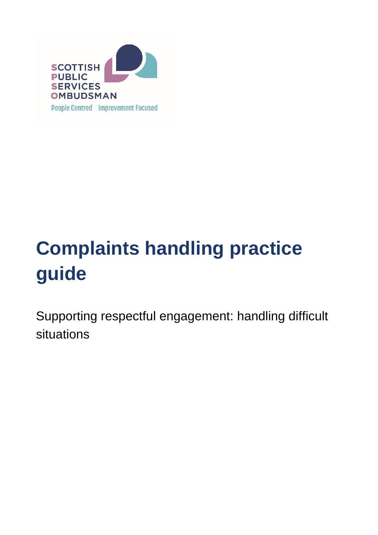

# **Complaints handling practice guide**

Supporting respectful engagement: handling difficult situations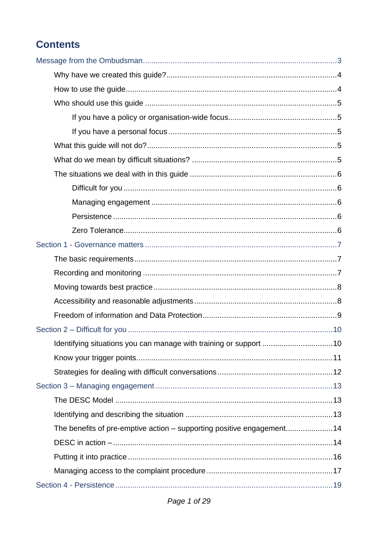## **Contents**

| The benefits of pre-emptive action - supporting positive engagement14 |  |
|-----------------------------------------------------------------------|--|
|                                                                       |  |
|                                                                       |  |
|                                                                       |  |
|                                                                       |  |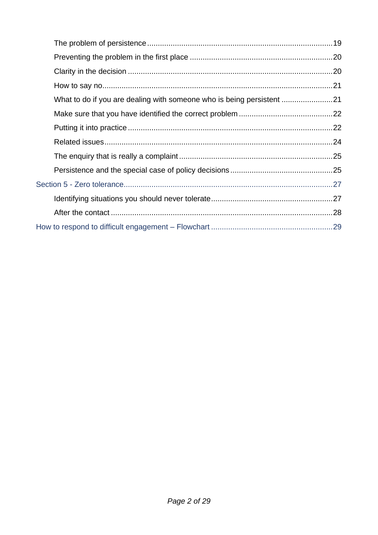| What to do if you are dealing with someone who is being persistent |  |
|--------------------------------------------------------------------|--|
|                                                                    |  |
|                                                                    |  |
|                                                                    |  |
|                                                                    |  |
|                                                                    |  |
|                                                                    |  |
|                                                                    |  |
|                                                                    |  |
|                                                                    |  |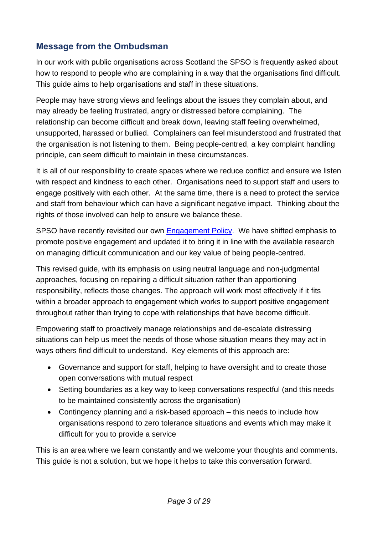## <span id="page-4-0"></span>**Message from the Ombudsman**

In our work with public organisations across Scotland the SPSO is frequently asked about how to respond to people who are complaining in a way that the organisations find difficult. This guide aims to help organisations and staff in these situations.

People may have strong views and feelings about the issues they complain about, and may already be feeling frustrated, angry or distressed before complaining. The relationship can become difficult and break down, leaving staff feeling overwhelmed, unsupported, harassed or bullied. Complainers can feel misunderstood and frustrated that the organisation is not listening to them. Being people-centred, a key complaint handling principle, can seem difficult to maintain in these circumstances.

It is all of our responsibility to create spaces where we reduce conflict and ensure we listen with respect and kindness to each other. Organisations need to support staff and users to engage positively with each other. At the same time, there is a need to protect the service and staff from behaviour which can have a significant negative impact. Thinking about the rights of those involved can help to ensure we balance these.

SPSO have recently revisited our own [Engagement Policy.](https://www.spso.org.uk/engagement-policy) We have shifted emphasis to promote positive engagement and updated it to bring it in line with the available research on managing difficult communication and our key value of being people-centred.

This revised guide, with its emphasis on using neutral language and non-judgmental approaches, focusing on repairing a difficult situation rather than apportioning responsibility, reflects those changes. The approach will work most effectively if it fits within a broader approach to engagement which works to support positive engagement throughout rather than trying to cope with relationships that have become difficult.

Empowering staff to proactively manage relationships and de-escalate distressing situations can help us meet the needs of those whose situation means they may act in ways others find difficult to understand. Key elements of this approach are:

- Governance and support for staff, helping to have oversight and to create those open conversations with mutual respect
- Setting boundaries as a key way to keep conversations respectful (and this needs to be maintained consistently across the organisation)
- Contingency planning and a risk-based approach this needs to include how organisations respond to zero tolerance situations and events which may make it difficult for you to provide a service

This is an area where we learn constantly and we welcome your thoughts and comments. This guide is not a solution, but we hope it helps to take this conversation forward.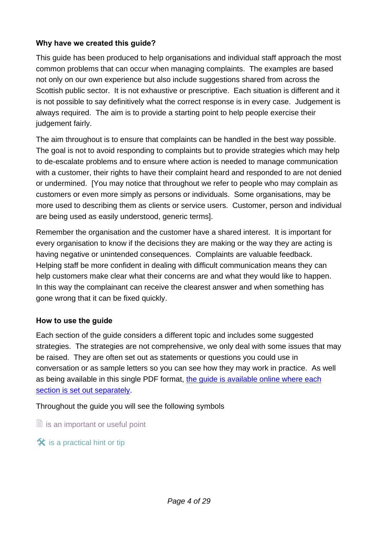#### <span id="page-5-0"></span>**Why have we created this guide?**

This guide has been produced to help organisations and individual staff approach the most common problems that can occur when managing complaints. The examples are based not only on our own experience but also include suggestions shared from across the Scottish public sector. It is not exhaustive or prescriptive. Each situation is different and it is not possible to say definitively what the correct response is in every case. Judgement is always required. The aim is to provide a starting point to help people exercise their judgement fairly.

The aim throughout is to ensure that complaints can be handled in the best way possible. The goal is not to avoid responding to complaints but to provide strategies which may help to de-escalate problems and to ensure where action is needed to manage communication with a customer, their rights to have their complaint heard and responded to are not denied or undermined. [You may notice that throughout we refer to people who may complain as customers or even more simply as persons or individuals. Some organisations, may be more used to describing them as clients or service users. Customer, person and individual are being used as easily understood, generic terms].

Remember the organisation and the customer have a shared interest. It is important for every organisation to know if the decisions they are making or the way they are acting is having negative or unintended consequences. Complaints are valuable feedback. Helping staff be more confident in dealing with difficult communication means they can help customers make clear what their concerns are and what they would like to happen. In this way the complainant can receive the clearest answer and when something has gone wrong that it can be fixed quickly.

#### <span id="page-5-1"></span>**How to use the guide**

Each section of the guide considers a different topic and includes some suggested strategies. The strategies are not comprehensive, we only deal with some issues that may be raised. They are often set out as statements or questions you could use in conversation or as sample letters so you can see how they may work in practice. As well as being available in this single PDF format, [the guide is available online where each](https://www.spso.org.uk/complaints-handling-practice-guide)  [section is set out separately.](https://www.spso.org.uk/complaints-handling-practice-guide)

Throughout the guide you will see the following symbols

 $\Box$  is an important or useful point

 $\hat{\mathbf{x}}$  is a practical hint or tip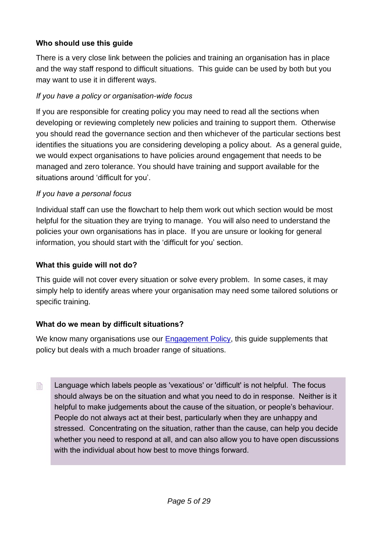#### <span id="page-6-0"></span>**Who should use this guide**

There is a very close link between the policies and training an organisation has in place and the way staff respond to difficult situations. This guide can be used by both but you may want to use it in different ways.

#### <span id="page-6-1"></span>*If you have a policy or organisation-wide focus*

If you are responsible for creating policy you may need to read all the sections when developing or reviewing completely new policies and training to support them. Otherwise you should read the governance section and then whichever of the particular sections best identifies the situations you are considering developing a policy about. As a general guide, we would expect organisations to have policies around engagement that needs to be managed and zero tolerance. You should have training and support available for the situations around 'difficult for you'.

#### <span id="page-6-2"></span>*If you have a personal focus*

Individual staff can use the flowchart to help them work out which section would be most helpful for the situation they are trying to manage. You will also need to understand the policies your own organisations has in place. If you are unsure or looking for general information, you should start with the 'difficult for you' section.

#### <span id="page-6-3"></span>**What this guide will not do?**

This guide will not cover every situation or solve every problem. In some cases, it may simply help to identify areas where your organisation may need some tailored solutions or specific training.

#### <span id="page-6-4"></span>**What do we mean by difficult situations?**

We know many organisations use our [Engagement Policy,](https://www.spso.org.uk/engagement-policy) this guide supplements that policy but deals with a much broader range of situations.

 Language which labels people as 'vexatious' or 'difficult' is not helpful. The focus should always be on the situation and what you need to do in response. Neither is it helpful to make judgements about the cause of the situation, or people's behaviour. People do not always act at their best, particularly when they are unhappy and stressed. Concentrating on the situation, rather than the cause, can help you decide whether you need to respond at all, and can also allow you to have open discussions with the individual about how best to move things forward.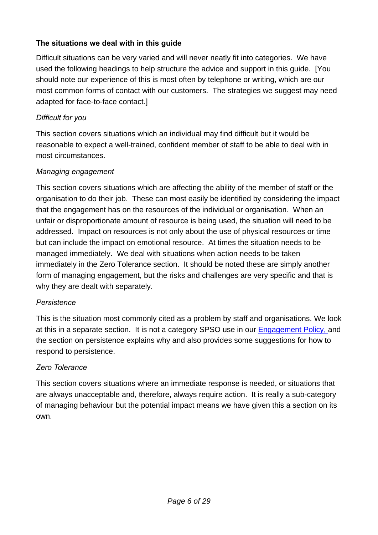#### <span id="page-7-0"></span>**The situations we deal with in this guide**

Difficult situations can be very varied and will never neatly fit into categories. We have used the following headings to help structure the advice and support in this guide. [You should note our experience of this is most often by telephone or writing, which are our most common forms of contact with our customers. The strategies we suggest may need adapted for face-to-face contact.]

#### <span id="page-7-1"></span>*Difficult for you*

This section covers situations which an individual may find difficult but it would be reasonable to expect a well-trained, confident member of staff to be able to deal with in most circumstances.

#### <span id="page-7-2"></span>*Managing engagement*

This section covers situations which are affecting the ability of the member of staff or the organisation to do their job. These can most easily be identified by considering the impact that the engagement has on the resources of the individual or organisation. When an unfair or disproportionate amount of resource is being used, the situation will need to be addressed. Impact on resources is not only about the use of physical resources or time but can include the impact on emotional resource. At times the situation needs to be managed immediately. We deal with situations when action needs to be taken immediately in the Zero Tolerance section. It should be noted these are simply another form of managing engagement, but the risks and challenges are very specific and that is why they are dealt with separately.

#### <span id="page-7-3"></span>*Persistence*

This is the situation most commonly cited as a problem by staff and organisations. We look at this in a separate section. It is not a category SPSO use in our [Engagement Policy,](https://www.spso.org.uk/engagement-policy) and the section on persistence explains why and also provides some suggestions for how to respond to persistence.

#### <span id="page-7-4"></span>*Zero Tolerance*

This section covers situations where an immediate response is needed, or situations that are always unacceptable and, therefore, always require action. It is really a sub-category of managing behaviour but the potential impact means we have given this a section on its own.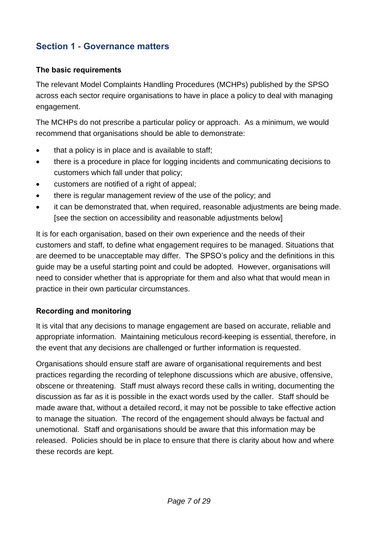## <span id="page-8-0"></span>**Section 1 - Governance matters**

#### <span id="page-8-1"></span>**The basic requirements**

The relevant Model Complaints Handling Procedures (MCHPs) published by the SPSO across each sector require organisations to have in place a policy to deal with managing engagement.

The MCHPs do not prescribe a particular policy or approach. As a minimum, we would recommend that organisations should be able to demonstrate:

- that a policy is in place and is available to staff;
- there is a procedure in place for logging incidents and communicating decisions to customers which fall under that policy;
- customers are notified of a right of appeal;
- there is regular management review of the use of the policy; and
- it can be demonstrated that, when required, reasonable adjustments are being made. [see the section on accessibility and reasonable adjustments below]

It is for each organisation, based on their own experience and the needs of their customers and staff, to define what engagement requires to be managed. Situations that are deemed to be unacceptable may differ. The SPSO's policy and the definitions in this guide may be a useful starting point and could be adopted. However, organisations will need to consider whether that is appropriate for them and also what that would mean in practice in their own particular circumstances.

#### <span id="page-8-2"></span>**Recording and monitoring**

It is vital that any decisions to manage engagement are based on accurate, reliable and appropriate information. Maintaining meticulous record-keeping is essential, therefore, in the event that any decisions are challenged or further information is requested.

Organisations should ensure staff are aware of organisational requirements and best practices regarding the recording of telephone discussions which are abusive, offensive, obscene or threatening. Staff must always record these calls in writing, documenting the discussion as far as it is possible in the exact words used by the caller. Staff should be made aware that, without a detailed record, it may not be possible to take effective action to manage the situation. The record of the engagement should always be factual and unemotional. Staff and organisations should be aware that this information may be released. Policies should be in place to ensure that there is clarity about how and where these records are kept.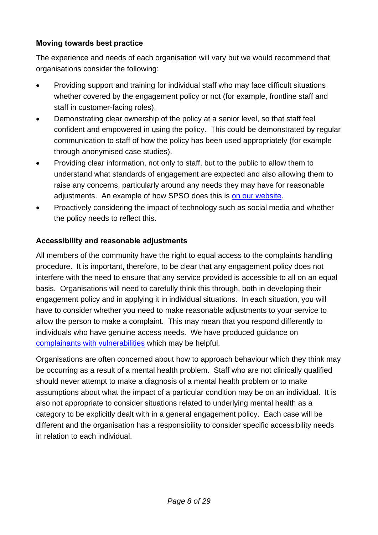#### <span id="page-9-0"></span>**Moving towards best practice**

The experience and needs of each organisation will vary but we would recommend that organisations consider the following:

- Providing support and training for individual staff who may face difficult situations whether covered by the engagement policy or not (for example, frontline staff and staff in customer-facing roles).
- Demonstrating clear ownership of the policy at a senior level, so that staff feel confident and empowered in using the policy. This could be demonstrated by regular communication to staff of how the policy has been used appropriately (for example through anonymised case studies).
- Providing clear information, not only to staff, but to the public to allow them to understand what standards of engagement are expected and also allowing them to raise any concerns, particularly around any needs they may have for reasonable adjustments. An example of how SPSO does this is [on our website.](https://www.spso.org.uk/engagement-policy)
- Proactively considering the impact of technology such as social media and whether the policy needs to reflect this.

#### <span id="page-9-1"></span>**Accessibility and reasonable adjustments**

All members of the community have the right to equal access to the complaints handling procedure. It is important, therefore, to be clear that any engagement policy does not interfere with the need to ensure that any service provided is accessible to all on an equal basis. Organisations will need to carefully think this through, both in developing their engagement policy and in applying it in individual situations. In each situation, you will have to consider whether you need to make reasonable adjustments to your service to allow the person to make a complaint. This may mean that you respond differently to individuals who have genuine access needs. We have produced guidance on [complainants with vulnerabilities](https://www.spso.org.uk/sites/spso/files/csa/Complainants%20with%20Vulnerabilities.pdf) which may be helpful.

Organisations are often concerned about how to approach behaviour which they think may be occurring as a result of a mental health problem. Staff who are not clinically qualified should never attempt to make a diagnosis of a mental health problem or to make assumptions about what the impact of a particular condition may be on an individual. It is also not appropriate to consider situations related to underlying mental health as a category to be explicitly dealt with in a general engagement policy. Each case will be different and the organisation has a responsibility to consider specific accessibility needs in relation to each individual.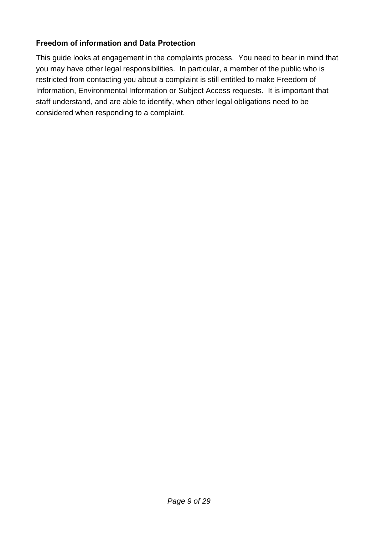#### <span id="page-10-0"></span>**Freedom of information and Data Protection**

This guide looks at engagement in the complaints process. You need to bear in mind that you may have other legal responsibilities. In particular, a member of the public who is restricted from contacting you about a complaint is still entitled to make Freedom of Information, Environmental Information or Subject Access requests. It is important that staff understand, and are able to identify, when other legal obligations need to be considered when responding to a complaint.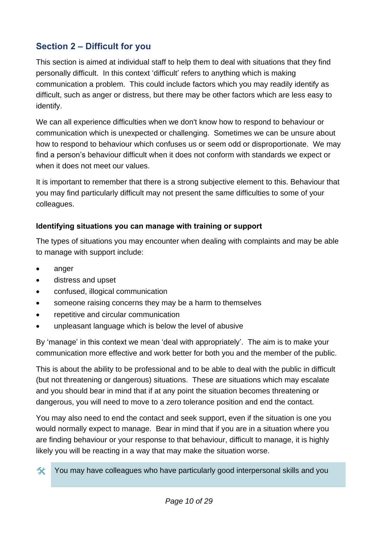## <span id="page-11-0"></span>**Section 2 – Difficult for you**

This section is aimed at individual staff to help them to deal with situations that they find personally difficult. In this context 'difficult' refers to anything which is making communication a problem. This could include factors which you may readily identify as difficult, such as anger or distress, but there may be other factors which are less easy to identify.

We can all experience difficulties when we don't know how to respond to behaviour or communication which is unexpected or challenging. Sometimes we can be unsure about how to respond to behaviour which confuses us or seem odd or disproportionate. We may find a person's behaviour difficult when it does not conform with standards we expect or when it does not meet our values.

It is important to remember that there is a strong subjective element to this. Behaviour that you may find particularly difficult may not present the same difficulties to some of your colleagues.

#### <span id="page-11-1"></span>**Identifying situations you can manage with training or support**

The types of situations you may encounter when dealing with complaints and may be able to manage with support include:

- anger
- distress and upset
- confused, illogical communication
- someone raising concerns they may be a harm to themselves
- repetitive and circular communication
- unpleasant language which is below the level of abusive

By 'manage' in this context we mean 'deal with appropriately'. The aim is to make your communication more effective and work better for both you and the member of the public.

This is about the ability to be professional and to be able to deal with the public in difficult (but not threatening or dangerous) situations. These are situations which may escalate and you should bear in mind that if at any point the situation becomes threatening or dangerous, you will need to move to a zero tolerance position and end the contact.

You may also need to end the contact and seek support, even if the situation is one you would normally expect to manage. Bear in mind that if you are in a situation where you are finding behaviour or your response to that behaviour, difficult to manage, it is highly likely you will be reacting in a way that may make the situation worse.

You may have colleagues who have particularly good interpersonal skills and you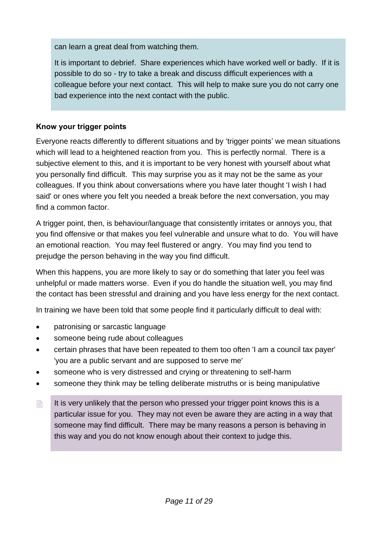can learn a great deal from watching them.

It is important to debrief. Share experiences which have worked well or badly. If it is possible to do so - try to take a break and discuss difficult experiences with a colleague before your next contact. This will help to make sure you do not carry one bad experience into the next contact with the public.

#### <span id="page-12-0"></span>**Know your trigger points**

Everyone reacts differently to different situations and by 'trigger points' we mean situations which will lead to a heightened reaction from you. This is perfectly normal. There is a subjective element to this, and it is important to be very honest with yourself about what you personally find difficult. This may surprise you as it may not be the same as your colleagues. If you think about conversations where you have later thought 'I wish I had said' or ones where you felt you needed a break before the next conversation, you may find a common factor.

A trigger point, then, is behaviour/language that consistently irritates or annoys you, that you find offensive or that makes you feel vulnerable and unsure what to do. You will have an emotional reaction. You may feel flustered or angry. You may find you tend to prejudge the person behaving in the way you find difficult.

When this happens, you are more likely to say or do something that later you feel was unhelpful or made matters worse. Even if you do handle the situation well, you may find the contact has been stressful and draining and you have less energy for the next contact.

In training we have been told that some people find it particularly difficult to deal with:

- patronising or sarcastic language
- someone being rude about colleagues
- certain phrases that have been repeated to them too often 'I am a council tax payer' 'you are a public servant and are supposed to serve me'
- someone who is very distressed and crying or threatening to self-harm
- someone they think may be telling deliberate mistruths or is being manipulative
- $\Box$  It is very unlikely that the person who pressed your trigger point knows this is a particular issue for you. They may not even be aware they are acting in a way that someone may find difficult. There may be many reasons a person is behaving in this way and you do not know enough about their context to judge this.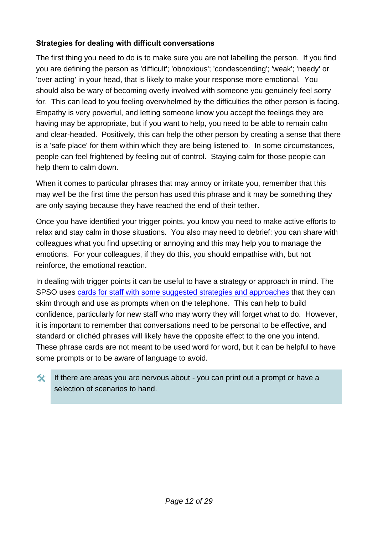#### <span id="page-13-0"></span>**Strategies for dealing with difficult conversations**

The first thing you need to do is to make sure you are not labelling the person. If you find you are defining the person as 'difficult'; 'obnoxious'; 'condescending'; 'weak'; 'needy' or 'over acting' in your head, that is likely to make your response more emotional. You should also be wary of becoming overly involved with someone you genuinely feel sorry for. This can lead to you feeling overwhelmed by the difficulties the other person is facing. Empathy is very powerful, and letting someone know you accept the feelings they are having may be appropriate, but if you want to help, you need to be able to remain calm and clear-headed. Positively, this can help the other person by creating a sense that there is a 'safe place' for them within which they are being listened to. In some circumstances, people can feel frightened by feeling out of control. Staying calm for those people can help them to calm down.

When it comes to particular phrases that may annoy or irritate you, remember that this may well be the first time the person has used this phrase and it may be something they are only saying because they have reached the end of their tether.

Once you have identified your trigger points, you know you need to make active efforts to relax and stay calm in those situations. You also may need to debrief: you can share with colleagues what you find upsetting or annoying and this may help you to manage the emotions. For your colleagues, if they do this, you should empathise with, but not reinforce, the emotional reaction.

In dealing with trigger points it can be useful to have a strategy or approach in mind. The SPSO uses [cards for staff with some suggested strategies and approaches](https://www.spso.org.uk/sites/spso/files/csa/AdvicePhraseCards.pdf) that they can skim through and use as prompts when on the telephone. This can help to build confidence, particularly for new staff who may worry they will forget what to do. However, it is important to remember that conversations need to be personal to be effective, and standard or clichéd phrases will likely have the opposite effect to the one you intend. These phrase cards are not meant to be used word for word, but it can be helpful to have some prompts or to be aware of language to avoid.

If there are areas you are nervous about - you can print out a prompt or have a selection of scenarios to hand.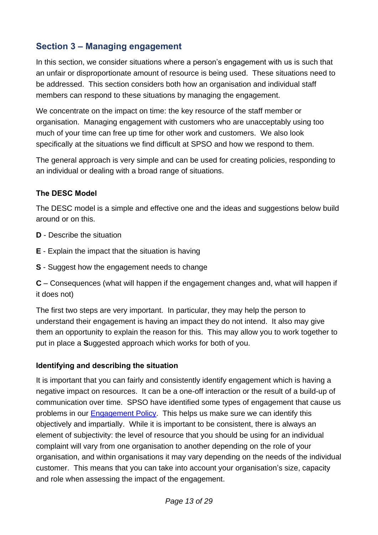## <span id="page-14-0"></span>**Section 3 – Managing engagement**

In this section, we consider situations where a person's engagement with us is such that an unfair or disproportionate amount of resource is being used. These situations need to be addressed. This section considers both how an organisation and individual staff members can respond to these situations by managing the engagement.

We concentrate on the impact on time: the key resource of the staff member or organisation. Managing engagement with customers who are unacceptably using too much of your time can free up time for other work and customers. We also look specifically at the situations we find difficult at SPSO and how we respond to them.

The general approach is very simple and can be used for creating policies, responding to an individual or dealing with a broad range of situations.

#### <span id="page-14-1"></span>**The DESC Model**

The DESC model is a simple and effective one and the ideas and suggestions below build around or on this.

- **D** Describe the situation
- **E** Explain the impact that the situation is having
- **S** Suggest how the engagement needs to change

**C** – Consequences (what will happen if the engagement changes and, what will happen if it does not)

The first two steps are very important. In particular, they may help the person to understand their engagement is having an impact they do not intend. It also may give them an opportunity to explain the reason for this. This may allow you to work together to put in place a **S**uggested approach which works for both of you.

#### <span id="page-14-2"></span>**Identifying and describing the situation**

It is important that you can fairly and consistently identify engagement which is having a negative impact on resources. It can be a one-off interaction or the result of a build-up of communication over time. SPSO have identified some types of engagement that cause us problems in our [Engagement Policy.](https://www.spso.org.uk/engagement-policy) This helps us make sure we can identify this objectively and impartially. While it is important to be consistent, there is always an element of subjectivity: the level of resource that you should be using for an individual complaint will vary from one organisation to another depending on the role of your organisation, and within organisations it may vary depending on the needs of the individual customer. This means that you can take into account your organisation's size, capacity and role when assessing the impact of the engagement.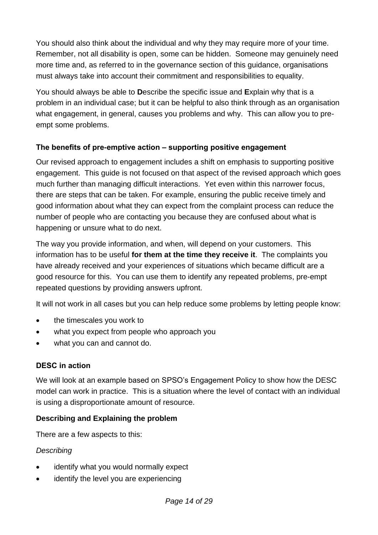You should also think about the individual and why they may require more of your time. Remember, not all disability is open, some can be hidden. Someone may genuinely need more time and, as referred to in the governance section of this guidance, organisations must always take into account their commitment and responsibilities to equality.

You should always be able to **D**escribe the specific issue and **E**xplain why that is a problem in an individual case; but it can be helpful to also think through as an organisation what engagement, in general, causes you problems and why. This can allow you to preempt some problems.

#### <span id="page-15-0"></span>**The benefits of pre-emptive action – supporting positive engagement**

Our revised approach to engagement includes a shift on emphasis to supporting positive engagement. This guide is not focused on that aspect of the revised approach which goes much further than managing difficult interactions. Yet even within this narrower focus, there are steps that can be taken. For example, ensuring the public receive timely and good information about what they can expect from the complaint process can reduce the number of people who are contacting you because they are confused about what is happening or unsure what to do next.

The way you provide information, and when, will depend on your customers. This information has to be useful **for them at the time they receive it**. The complaints you have already received and your experiences of situations which became difficult are a good resource for this. You can use them to identify any repeated problems, pre-empt repeated questions by providing answers upfront.

It will not work in all cases but you can help reduce some problems by letting people know:

- the timescales you work to
- what you expect from people who approach you
- what you can and cannot do.

#### <span id="page-15-1"></span>**DESC in action**

We will look at an example based on SPSO's Engagement Policy to show how the DESC model can work in practice. This is a situation where the level of contact with an individual is using a disproportionate amount of resource.

#### **Describing and Explaining the problem**

There are a few aspects to this:

#### *Describing*

- identify what you would normally expect
- identify the level you are experiencing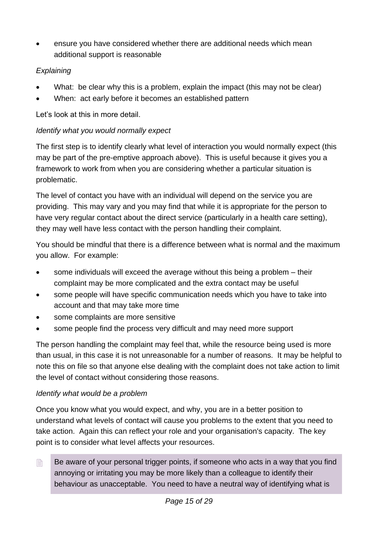ensure you have considered whether there are additional needs which mean additional support is reasonable

#### *Explaining*

- What: be clear why this is a problem, explain the impact (this may not be clear)
- When: act early before it becomes an established pattern

Let's look at this in more detail.

#### *Identify what you would normally expect*

The first step is to identify clearly what level of interaction you would normally expect (this may be part of the pre-emptive approach above). This is useful because it gives you a framework to work from when you are considering whether a particular situation is problematic.

The level of contact you have with an individual will depend on the service you are providing. This may vary and you may find that while it is appropriate for the person to have very regular contact about the direct service (particularly in a health care setting), they may well have less contact with the person handling their complaint.

You should be mindful that there is a difference between what is normal and the maximum you allow. For example:

- some individuals will exceed the average without this being a problem their complaint may be more complicated and the extra contact may be useful
- some people will have specific communication needs which you have to take into account and that may take more time
- some complaints are more sensitive
- some people find the process very difficult and may need more support

The person handling the complaint may feel that, while the resource being used is more than usual, in this case it is not unreasonable for a number of reasons. It may be helpful to note this on file so that anyone else dealing with the complaint does not take action to limit the level of contact without considering those reasons.

#### *Identify what would be a problem*

Once you know what you would expect, and why, you are in a better position to understand what levels of contact will cause you problems to the extent that you need to take action. Again this can reflect your role and your organisation's capacity. The key point is to consider what level affects your resources.

 $\Box$  Be aware of your personal trigger points, if someone who acts in a way that you find annoying or irritating you may be more likely than a colleague to identify their behaviour as unacceptable. You need to have a neutral way of identifying what is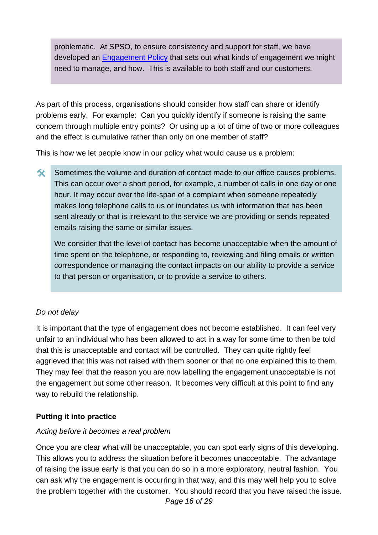problematic. At SPSO, to ensure consistency and support for staff, we have developed an [Engagement Policy](https://www.spso.org.uk/engagement-policy) that sets out what kinds of engagement we might need to manage, and how. This is available to both staff and our customers.

As part of this process, organisations should consider how staff can share or identify problems early. For example: Can you quickly identify if someone is raising the same concern through multiple entry points? Or using up a lot of time of two or more colleagues and the effect is cumulative rather than only on one member of staff?

This is how we let people know in our policy what would cause us a problem:

Sometimes the volume and duration of contact made to our office causes problems. This can occur over a short period, for example, a number of calls in one day or one hour. It may occur over the life-span of a complaint when someone repeatedly makes long telephone calls to us or inundates us with information that has been sent already or that is irrelevant to the service we are providing or sends repeated emails raising the same or similar issues.

We consider that the level of contact has become unacceptable when the amount of time spent on the telephone, or responding to, reviewing and filing emails or written correspondence or managing the contact impacts on our ability to provide a service to that person or organisation, or to provide a service to others.

#### *Do not delay*

It is important that the type of engagement does not become established. It can feel very unfair to an individual who has been allowed to act in a way for some time to then be told that this is unacceptable and contact will be controlled. They can quite rightly feel aggrieved that this was not raised with them sooner or that no one explained this to them. They may feel that the reason you are now labelling the engagement unacceptable is not the engagement but some other reason. It becomes very difficult at this point to find any way to rebuild the relationship.

#### <span id="page-17-0"></span>**Putting it into practice**

#### *Acting before it becomes a real problem*

*Page 16 of 29* Once you are clear what will be unacceptable, you can spot early signs of this developing. This allows you to address the situation before it becomes unacceptable. The advantage of raising the issue early is that you can do so in a more exploratory, neutral fashion. You can ask why the engagement is occurring in that way, and this may well help you to solve the problem together with the customer. You should record that you have raised the issue.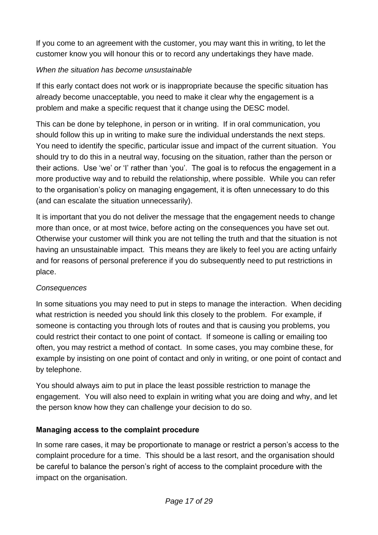If you come to an agreement with the customer, you may want this in writing, to let the customer know you will honour this or to record any undertakings they have made.

#### *When the situation has become unsustainable*

If this early contact does not work or is inappropriate because the specific situation has already become unacceptable, you need to make it clear why the engagement is a problem and make a specific request that it change using the DESC model.

This can be done by telephone, in person or in writing. If in oral communication, you should follow this up in writing to make sure the individual understands the next steps. You need to identify the specific, particular issue and impact of the current situation. You should try to do this in a neutral way, focusing on the situation, rather than the person or their actions. Use 'we' or 'I' rather than 'you'. The goal is to refocus the engagement in a more productive way and to rebuild the relationship, where possible. While you can refer to the organisation's policy on managing engagement, it is often unnecessary to do this (and can escalate the situation unnecessarily).

It is important that you do not deliver the message that the engagement needs to change more than once, or at most twice, before acting on the consequences you have set out. Otherwise your customer will think you are not telling the truth and that the situation is not having an unsustainable impact. This means they are likely to feel you are acting unfairly and for reasons of personal preference if you do subsequently need to put restrictions in place.

#### *Consequences*

In some situations you may need to put in steps to manage the interaction. When deciding what restriction is needed you should link this closely to the problem. For example, if someone is contacting you through lots of routes and that is causing you problems, you could restrict their contact to one point of contact. If someone is calling or emailing too often, you may restrict a method of contact. In some cases, you may combine these, for example by insisting on one point of contact and only in writing, or one point of contact and by telephone.

You should always aim to put in place the least possible restriction to manage the engagement. You will also need to explain in writing what you are doing and why, and let the person know how they can challenge your decision to do so.

#### <span id="page-18-0"></span>**Managing access to the complaint procedure**

In some rare cases, it may be proportionate to manage or restrict a person's access to the complaint procedure for a time. This should be a last resort, and the organisation should be careful to balance the person's right of access to the complaint procedure with the impact on the organisation.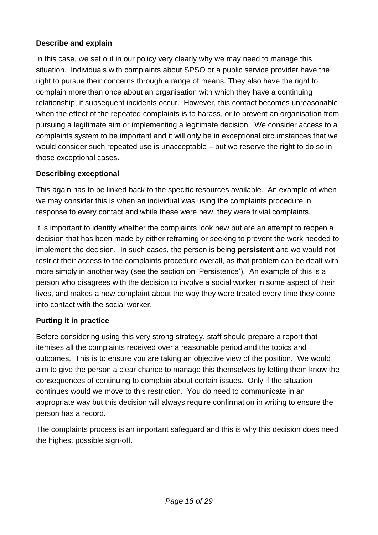#### **Describe and explain**

In this case, we set out in our policy very clearly why we may need to manage this situation. Individuals with complaints about SPSO or a public service provider have the right to pursue their concerns through a range of means. They also have the right to complain more than once about an organisation with which they have a continuing relationship, if subsequent incidents occur. However, this contact becomes unreasonable when the effect of the repeated complaints is to harass, or to prevent an organisation from pursuing a legitimate aim or implementing a legitimate decision. We consider access to a complaints system to be important and it will only be in exceptional circumstances that we would consider such repeated use is unacceptable – but we reserve the right to do so in those exceptional cases.

#### **Describing exceptional**

This again has to be linked back to the specific resources available. An example of when we may consider this is when an individual was using the complaints procedure in response to every contact and while these were new, they were trivial complaints.

It is important to identify whether the complaints look new but are an attempt to reopen a decision that has been made by either reframing or seeking to prevent the work needed to implement the decision. In such cases, the person is being **persistent** and we would not restrict their access to the complaints procedure overall, as that problem can be dealt with more simply in another way (see the section on 'Persistence'). An example of this is a person who disagrees with the decision to involve a social worker in some aspect of their lives, and makes a new complaint about the way they were treated every time they come into contact with the social worker.

#### **Putting it in practice**

Before considering using this very strong strategy, staff should prepare a report that itemises all the complaints received over a reasonable period and the topics and outcomes. This is to ensure you are taking an objective view of the position. We would aim to give the person a clear chance to manage this themselves by letting them know the consequences of continuing to complain about certain issues. Only if the situation continues would we move to this restriction. You do need to communicate in an appropriate way but this decision will always require confirmation in writing to ensure the person has a record.

The complaints process is an important safeguard and this is why this decision does need the highest possible sign-off.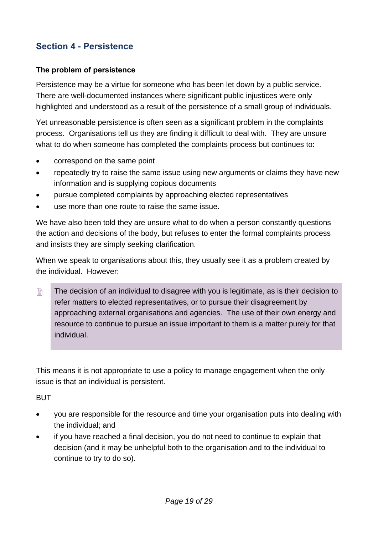## <span id="page-20-0"></span>**Section 4 - Persistence**

#### <span id="page-20-1"></span>**The problem of persistence**

Persistence may be a virtue for someone who has been let down by a public service. There are well-documented instances where significant public injustices were only highlighted and understood as a result of the persistence of a small group of individuals.

Yet unreasonable persistence is often seen as a significant problem in the complaints process. Organisations tell us they are finding it difficult to deal with. They are unsure what to do when someone has completed the complaints process but continues to:

- correspond on the same point
- repeatedly try to raise the same issue using new arguments or claims they have new information and is supplying copious documents
- pursue completed complaints by approaching elected representatives
- use more than one route to raise the same issue.

We have also been told they are unsure what to do when a person constantly questions the action and decisions of the body, but refuses to enter the formal complaints process and insists they are simply seeking clarification.

When we speak to organisations about this, they usually see it as a problem created by the individual. However:

■ The decision of an individual to disagree with you is legitimate, as is their decision to refer matters to elected representatives, or to pursue their disagreement by approaching external organisations and agencies. The use of their own energy and resource to continue to pursue an issue important to them is a matter purely for that individual.

This means it is not appropriate to use a policy to manage engagement when the only issue is that an individual is persistent.

**BUT** 

- you are responsible for the resource and time your organisation puts into dealing with the individual; and
- if you have reached a final decision, you do not need to continue to explain that decision (and it may be unhelpful both to the organisation and to the individual to continue to try to do so).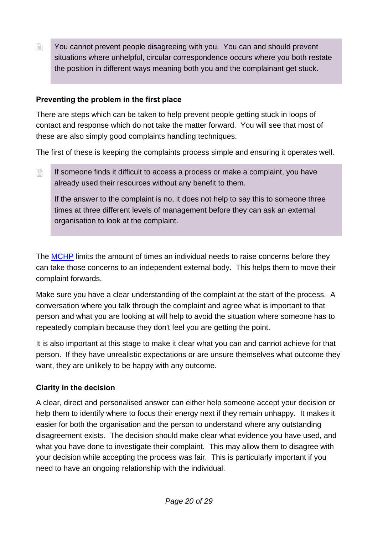**EXECTE:** You cannot prevent people disagreeing with you. You can and should prevent situations where unhelpful, circular correspondence occurs where you both restate the position in different ways meaning both you and the complainant get stuck.

#### <span id="page-21-0"></span>**Preventing the problem in the first place**

There are steps which can be taken to help prevent people getting stuck in loops of contact and response which do not take the matter forward. You will see that most of these are also simply good complaints handling techniques.

The first of these is keeping the complaints process simple and ensuring it operates well.

 $\mathbb{B}$  If someone finds it difficult to access a process or make a complaint, you have already used their resources without any benefit to them.

If the answer to the complaint is no, it does not help to say this to someone three times at three different levels of management before they can ask an external organisation to look at the complaint.

The [MCHP](https://www.spso.org.uk/the-model-complaints-handling-procedures) limits the amount of times an individual needs to raise concerns before they can take those concerns to an independent external body. This helps them to move their complaint forwards.

Make sure you have a clear understanding of the complaint at the start of the process. A conversation where you talk through the complaint and agree what is important to that person and what you are looking at will help to avoid the situation where someone has to repeatedly complain because they don't feel you are getting the point.

It is also important at this stage to make it clear what you can and cannot achieve for that person. If they have unrealistic expectations or are unsure themselves what outcome they want, they are unlikely to be happy with any outcome.

#### <span id="page-21-1"></span>**Clarity in the decision**

A clear, direct and personalised answer can either help someone accept your decision or help them to identify where to focus their energy next if they remain unhappy. It makes it easier for both the organisation and the person to understand where any outstanding disagreement exists. The decision should make clear what evidence you have used, and what you have done to investigate their complaint. This may allow them to disagree with your decision while accepting the process was fair. This is particularly important if you need to have an ongoing relationship with the individual.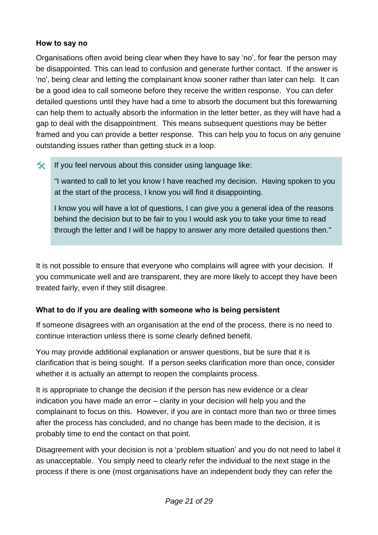#### <span id="page-22-0"></span>**How to say no**

Organisations often avoid being clear when they have to say 'no', for fear the person may be disappointed. This can lead to confusion and generate further contact. If the answer is 'no', being clear and letting the complainant know sooner rather than later can help. It can be a good idea to call someone before they receive the written response. You can defer detailed questions until they have had a time to absorb the document but this forewarning can help them to actually absorb the information in the letter better, as they will have had a gap to deal with the disappointment. This means subsequent questions may be better framed and you can provide a better response. This can help you to focus on any genuine outstanding issues rather than getting stuck in a loop.

#### $\mathcal{F}$  If you feel nervous about this consider using language like:

"I wanted to call to let you know I have reached my decision. Having spoken to you at the start of the process, I know you will find it disappointing.

I know you will have a lot of questions, I can give you a general idea of the reasons behind the decision but to be fair to you I would ask you to take your time to read through the letter and I will be happy to answer any more detailed questions then."

It is not possible to ensure that everyone who complains will agree with your decision. If you communicate well and are transparent, they are more likely to accept they have been treated fairly, even if they still disagree.

#### <span id="page-22-1"></span>**What to do if you are dealing with someone who is being persistent**

If someone disagrees with an organisation at the end of the process, there is no need to continue interaction unless there is some clearly defined benefit.

You may provide additional explanation or answer questions, but be sure that it is clarification that is being sought. If a person seeks clarification more than once, consider whether it is actually an attempt to reopen the complaints process.

It is appropriate to change the decision if the person has new evidence or a clear indication you have made an error – clarity in your decision will help you and the complainant to focus on this. However, if you are in contact more than two or three times after the process has concluded, and no change has been made to the decision, it is probably time to end the contact on that point.

Disagreement with your decision is not a 'problem situation' and you do not need to label it as unacceptable. You simply need to clearly refer the individual to the next stage in the process if there is one (most organisations have an independent body they can refer the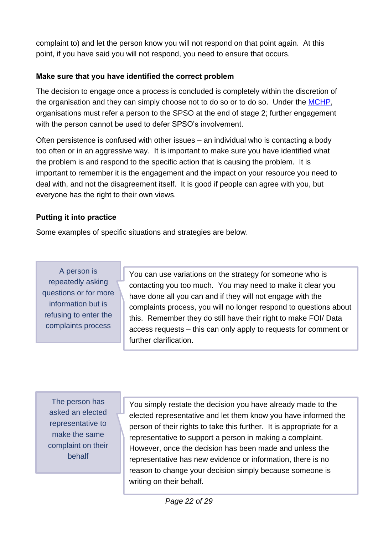complaint to) and let the person know you will not respond on that point again. At this point, if you have said you will not respond, you need to ensure that occurs.

#### <span id="page-23-0"></span>**Make sure that you have identified the correct problem**

The decision to engage once a process is concluded is completely within the discretion of the organisation and they can simply choose not to do so or to do so. Under the [MCHP,](https://www.spso.org.uk/the-model-complaints-handling-procedures) organisations must refer a person to the SPSO at the end of stage 2; further engagement with the person cannot be used to defer SPSO's involvement.

Often persistence is confused with other issues – an individual who is contacting a body too often or in an aggressive way. It is important to make sure you have identified what the problem is and respond to the specific action that is causing the problem. It is important to remember it is the engagement and the impact on your resource you need to deal with, and not the disagreement itself. It is good if people can agree with you, but everyone has the right to their own views.

#### <span id="page-23-1"></span>**Putting it into practice**

Some examples of specific situations and strategies are below.

A person is repeatedly asking questions or for more information but is refusing to enter the complaints process

You can use variations on the strategy for someone who is contacting you too much. You may need to make it clear you have done all you can and if they will not engage with the complaints process, you will no longer respond to questions about this. Remember they do still have their right to make FOI/ Data access requests – this can only apply to requests for comment or further clarification.

The person has asked an elected representative to make the same complaint on their behalf

You simply restate the decision you have already made to the elected representative and let them know you have informed the person of their rights to take this further. It is appropriate for a representative to support a person in making a complaint. However, once the decision has been made and unless the representative has new evidence or information, there is no reason to change your decision simply because someone is writing on their behalf.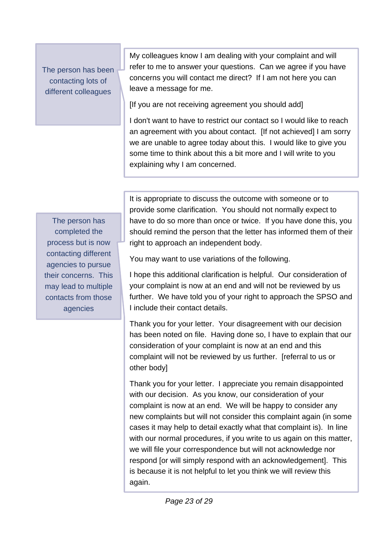The person has been contacting lots of different colleagues

My colleagues know I am dealing with your complaint and will refer to me to answer your questions. Can we agree if you have concerns you will contact me direct? If I am not here you can leave a message for me.

[If you are not receiving agreement you should add]

I don't want to have to restrict our contact so I would like to reach an agreement with you about contact. [If not achieved] I am sorry we are unable to agree today about this. I would like to give you some time to think about this a bit more and I will write to you explaining why I am concerned.

The person has completed the process but is now contacting different agencies to pursue their concerns. This may lead to multiple contacts from those agencies

It is appropriate to discuss the outcome with someone or to provide some clarification. You should not normally expect to have to do so more than once or twice. If you have done this, you should remind the person that the letter has informed them of their right to approach an independent body.

You may want to use variations of the following.

I hope this additional clarification is helpful. Our consideration of your complaint is now at an end and will not be reviewed by us further. We have told you of your right to approach the SPSO and I include their contact details.

Thank you for your letter. Your disagreement with our decision has been noted on file. Having done so, I have to explain that our consideration of your complaint is now at an end and this complaint will not be reviewed by us further. [referral to us or other body]

Thank you for your letter. I appreciate you remain disappointed with our decision. As you know, our consideration of your complaint is now at an end. We will be happy to consider any new complaints but will not consider this complaint again (in some cases it may help to detail exactly what that complaint is). In line with our normal procedures, if you write to us again on this matter, we will file your correspondence but will not acknowledge nor respond [or will simply respond with an acknowledgement]. This is because it is not helpful to let you think we will review this again.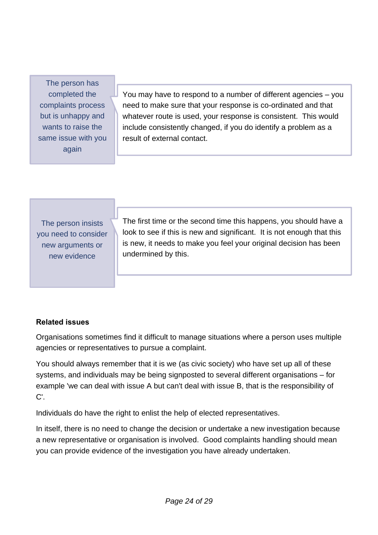The person has completed the complaints process but is unhappy and wants to raise the same issue with you again

You may have to respond to a number of different agencies – you need to make sure that your response is co-ordinated and that whatever route is used, your response is consistent. This would include consistently changed, if you do identify a problem as a result of external contact.

The person insists you need to consider new arguments or new evidence

The first time or the second time this happens, you should have a look to see if this is new and significant. It is not enough that this is new, it needs to make you feel your original decision has been undermined by this.

#### <span id="page-25-0"></span>**Related issues**

Organisations sometimes find it difficult to manage situations where a person uses multiple agencies or representatives to pursue a complaint.

You should always remember that it is we (as civic society) who have set up all of these systems, and individuals may be being signposted to several different organisations – for example 'we can deal with issue A but can't deal with issue B, that is the responsibility of C'.

Individuals do have the right to enlist the help of elected representatives.

In itself, there is no need to change the decision or undertake a new investigation because a new representative or organisation is involved. Good complaints handling should mean you can provide evidence of the investigation you have already undertaken.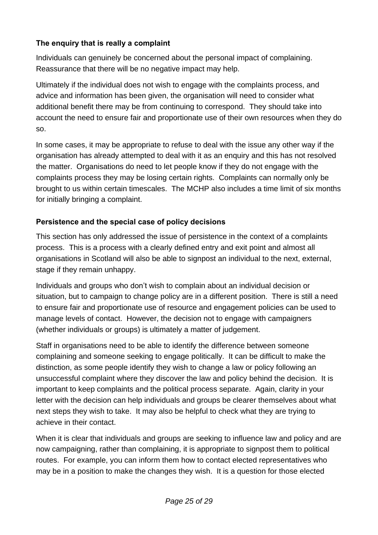#### <span id="page-26-0"></span>**The enquiry that is really a complaint**

Individuals can genuinely be concerned about the personal impact of complaining. Reassurance that there will be no negative impact may help.

Ultimately if the individual does not wish to engage with the complaints process, and advice and information has been given, the organisation will need to consider what additional benefit there may be from continuing to correspond. They should take into account the need to ensure fair and proportionate use of their own resources when they do so.

In some cases, it may be appropriate to refuse to deal with the issue any other way if the organisation has already attempted to deal with it as an enquiry and this has not resolved the matter. Organisations do need to let people know if they do not engage with the complaints process they may be losing certain rights. Complaints can normally only be brought to us within certain timescales. The MCHP also includes a time limit of six months for initially bringing a complaint.

#### <span id="page-26-1"></span>**Persistence and the special case of policy decisions**

This section has only addressed the issue of persistence in the context of a complaints process. This is a process with a clearly defined entry and exit point and almost all organisations in Scotland will also be able to signpost an individual to the next, external, stage if they remain unhappy.

Individuals and groups who don't wish to complain about an individual decision or situation, but to campaign to change policy are in a different position. There is still a need to ensure fair and proportionate use of resource and engagement policies can be used to manage levels of contact. However, the decision not to engage with campaigners (whether individuals or groups) is ultimately a matter of judgement.

Staff in organisations need to be able to identify the difference between someone complaining and someone seeking to engage politically. It can be difficult to make the distinction, as some people identify they wish to change a law or policy following an unsuccessful complaint where they discover the law and policy behind the decision. It is important to keep complaints and the political process separate. Again, clarity in your letter with the decision can help individuals and groups be clearer themselves about what next steps they wish to take. It may also be helpful to check what they are trying to achieve in their contact.

When it is clear that individuals and groups are seeking to influence law and policy and are now campaigning, rather than complaining, it is appropriate to signpost them to political routes. For example, you can inform them how to contact elected representatives who may be in a position to make the changes they wish. It is a question for those elected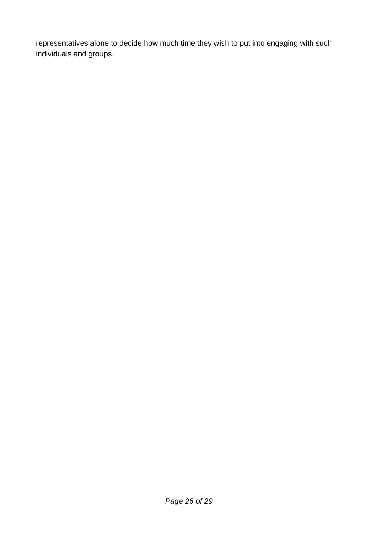representatives alone to decide how much time they wish to put into engaging with such individuals and groups.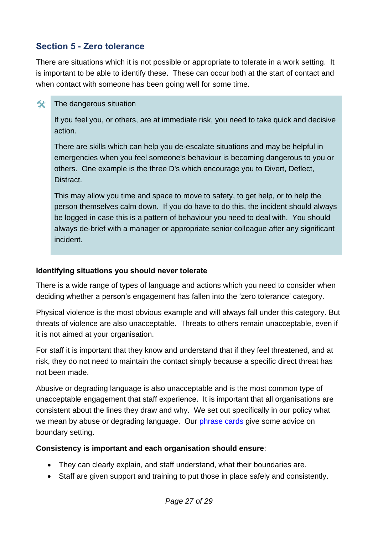### <span id="page-28-0"></span>**Section 5 - Zero tolerance**

There are situations which it is not possible or appropriate to tolerate in a work setting. It is important to be able to identify these. These can occur both at the start of contact and when contact with someone has been going well for some time.

#### $\hat{\mathbf{x}}$  The dangerous situation

If you feel you, or others, are at immediate risk, you need to take quick and decisive action.

There are skills which can help you de-escalate situations and may be helpful in emergencies when you feel someone's behaviour is becoming dangerous to you or others. One example is the three D's which encourage you to Divert, Deflect, Distract.

This may allow you time and space to move to safety, to get help, or to help the person themselves calm down. If you do have to do this, the incident should always be logged in case this is a pattern of behaviour you need to deal with. You should always de-brief with a manager or appropriate senior colleague after any significant incident.

#### <span id="page-28-1"></span>**Identifying situations you should never tolerate**

There is a wide range of types of language and actions which you need to consider when deciding whether a person's engagement has fallen into the 'zero tolerance' category.

Physical violence is the most obvious example and will always fall under this category. But threats of violence are also unacceptable. Threats to others remain unacceptable, even if it is not aimed at your organisation.

For staff it is important that they know and understand that if they feel threatened, and at risk, they do not need to maintain the contact simply because a specific direct threat has not been made.

Abusive or degrading language is also unacceptable and is the most common type of unacceptable engagement that staff experience. It is important that all organisations are consistent about the lines they draw and why. We set out specifically in our policy what we mean by abuse or degrading language. Our [phrase cards](https://www.spso.org.uk/sites/spso/files/csa/AdvicePhraseCards.pdf) give some advice on boundary setting.

#### **Consistency is important and each organisation should ensure**:

- They can clearly explain, and staff understand, what their boundaries are.
- Staff are given support and training to put those in place safely and consistently.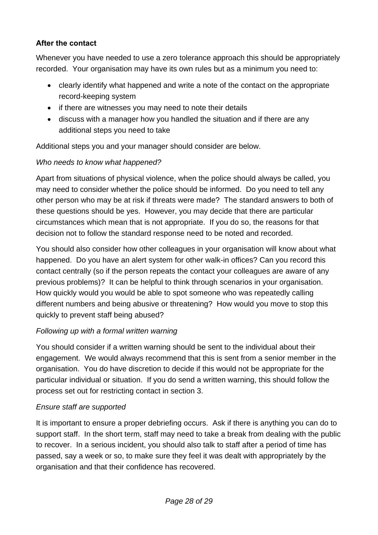#### <span id="page-29-0"></span>**After the contact**

Whenever you have needed to use a zero tolerance approach this should be appropriately recorded. Your organisation may have its own rules but as a minimum you need to:

- clearly identify what happened and write a note of the contact on the appropriate record-keeping system
- if there are witnesses you may need to note their details
- discuss with a manager how you handled the situation and if there are any additional steps you need to take

Additional steps you and your manager should consider are below.

#### *Who needs to know what happened?*

Apart from situations of physical violence, when the police should always be called, you may need to consider whether the police should be informed. Do you need to tell any other person who may be at risk if threats were made? The standard answers to both of these questions should be yes. However, you may decide that there are particular circumstances which mean that is not appropriate. If you do so, the reasons for that decision not to follow the standard response need to be noted and recorded.

You should also consider how other colleagues in your organisation will know about what happened. Do you have an alert system for other walk-in offices? Can you record this contact centrally (so if the person repeats the contact your colleagues are aware of any previous problems)? It can be helpful to think through scenarios in your organisation. How quickly would you would be able to spot someone who was repeatedly calling different numbers and being abusive or threatening? How would you move to stop this quickly to prevent staff being abused?

#### *Following up with a formal written warning*

You should consider if a written warning should be sent to the individual about their engagement. We would always recommend that this is sent from a senior member in the organisation. You do have discretion to decide if this would not be appropriate for the particular individual or situation. If you do send a written warning, this should follow the process set out for restricting contact in section 3.

#### *Ensure staff are supported*

It is important to ensure a proper debriefing occurs. Ask if there is anything you can do to support staff. In the short term, staff may need to take a break from dealing with the public to recover. In a serious incident, you should also talk to staff after a period of time has passed, say a week or so, to make sure they feel it was dealt with appropriately by the organisation and that their confidence has recovered.